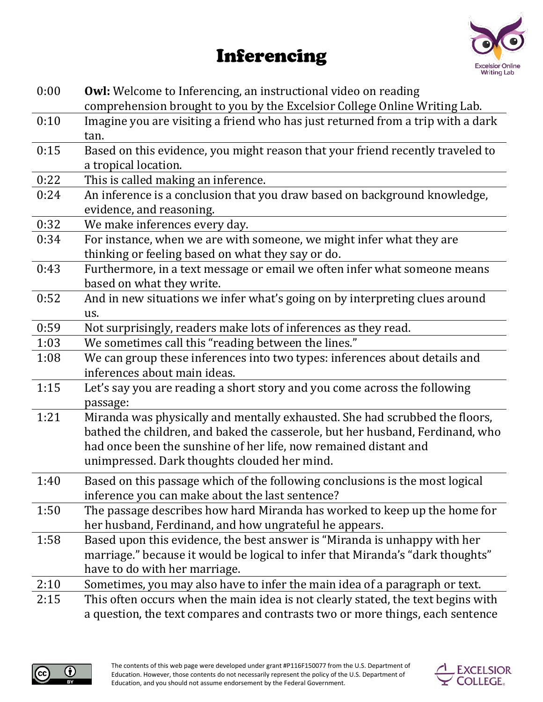## Inferencing



| 0:00 | <b>Owl:</b> Welcome to Inferencing, an instructional video on reading<br>comprehension brought to you by the Excelsior College Online Writing Lab.                                                                                                                               |
|------|----------------------------------------------------------------------------------------------------------------------------------------------------------------------------------------------------------------------------------------------------------------------------------|
| 0:10 | Imagine you are visiting a friend who has just returned from a trip with a dark<br>tan.                                                                                                                                                                                          |
| 0:15 | Based on this evidence, you might reason that your friend recently traveled to<br>a tropical location.                                                                                                                                                                           |
| 0:22 | This is called making an inference.                                                                                                                                                                                                                                              |
| 0:24 | An inference is a conclusion that you draw based on background knowledge,<br>evidence, and reasoning.                                                                                                                                                                            |
| 0:32 | We make inferences every day.                                                                                                                                                                                                                                                    |
| 0:34 | For instance, when we are with someone, we might infer what they are<br>thinking or feeling based on what they say or do.                                                                                                                                                        |
| 0:43 | Furthermore, in a text message or email we often infer what someone means<br>based on what they write.                                                                                                                                                                           |
| 0:52 | And in new situations we infer what's going on by interpreting clues around                                                                                                                                                                                                      |
|      | us.                                                                                                                                                                                                                                                                              |
| 0:59 | Not surprisingly, readers make lots of inferences as they read.                                                                                                                                                                                                                  |
| 1:03 | We sometimes call this "reading between the lines."                                                                                                                                                                                                                              |
| 1:08 | We can group these inferences into two types: inferences about details and                                                                                                                                                                                                       |
|      | inferences about main ideas.                                                                                                                                                                                                                                                     |
| 1:15 | Let's say you are reading a short story and you come across the following<br>passage:                                                                                                                                                                                            |
| 1:21 | Miranda was physically and mentally exhausted. She had scrubbed the floors,<br>bathed the children, and baked the casserole, but her husband, Ferdinand, who<br>had once been the sunshine of her life, now remained distant and<br>unimpressed. Dark thoughts clouded her mind. |
| 1:40 | Based on this passage which of the following conclusions is the most logical<br>inference you can make about the last sentence?                                                                                                                                                  |
| 1:50 | The passage describes how hard Miranda has worked to keep up the home for<br>her husband, Ferdinand, and how ungrateful he appears.                                                                                                                                              |
| 1:58 | Based upon this evidence, the best answer is "Miranda is unhappy with her<br>marriage." because it would be logical to infer that Miranda's "dark thoughts"<br>have to do with her marriage.                                                                                     |
| 2:10 | Sometimes, you may also have to infer the main idea of a paragraph or text.                                                                                                                                                                                                      |
| 2:15 | This often occurs when the main idea is not clearly stated, the text begins with                                                                                                                                                                                                 |
|      | a question, the text compares and contrasts two or more things, each sentence                                                                                                                                                                                                    |



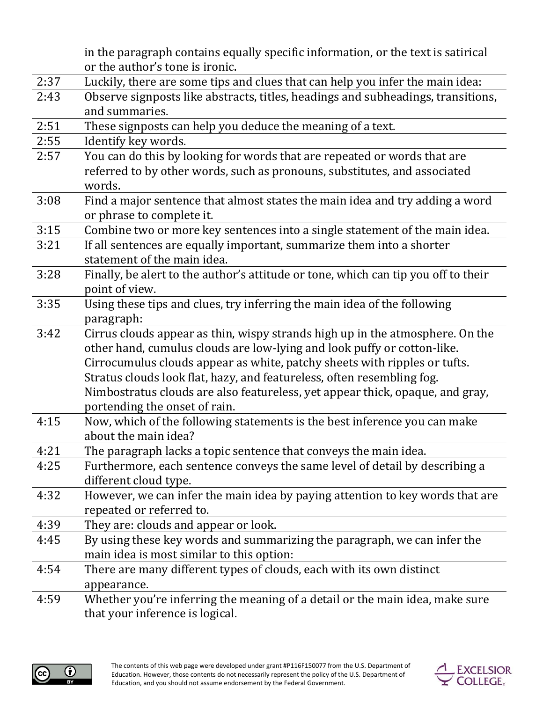|      | in the paragraph contains equally specific information, or the text is satirical                          |
|------|-----------------------------------------------------------------------------------------------------------|
|      | or the author's tone is ironic.                                                                           |
| 2:37 | Luckily, there are some tips and clues that can help you infer the main idea:                             |
| 2:43 | Observe signposts like abstracts, titles, headings and subheadings, transitions,<br>and summaries.        |
| 2:51 | These signposts can help you deduce the meaning of a text.                                                |
| 2:55 | Identify key words.                                                                                       |
| 2:57 | You can do this by looking for words that are repeated or words that are                                  |
|      | referred to by other words, such as pronouns, substitutes, and associated                                 |
|      | words.                                                                                                    |
| 3:08 | Find a major sentence that almost states the main idea and try adding a word<br>or phrase to complete it. |
| 3:15 | Combine two or more key sentences into a single statement of the main idea.                               |
| 3:21 | If all sentences are equally important, summarize them into a shorter                                     |
|      | statement of the main idea.                                                                               |
| 3:28 | Finally, be alert to the author's attitude or tone, which can tip you off to their                        |
|      | point of view.                                                                                            |
| 3:35 | Using these tips and clues, try inferring the main idea of the following                                  |
|      | paragraph:                                                                                                |
| 3:42 | Cirrus clouds appear as thin, wispy strands high up in the atmosphere. On the                             |
|      | other hand, cumulus clouds are low-lying and look puffy or cotton-like.                                   |
|      | Cirrocumulus clouds appear as white, patchy sheets with ripples or tufts.                                 |
|      | Stratus clouds look flat, hazy, and featureless, often resembling fog.                                    |
|      | Nimbostratus clouds are also featureless, yet appear thick, opaque, and gray,                             |
|      | portending the onset of rain.                                                                             |
| 4:15 | Now, which of the following statements is the best inference you can make                                 |
|      | about the main idea?                                                                                      |
| 4:21 | The paragraph lacks a topic sentence that conveys the main idea.                                          |
| 4:25 | Furthermore, each sentence conveys the same level of detail by describing a                               |
|      | different cloud type.                                                                                     |
| 4:32 | However, we can infer the main idea by paying attention to key words that are                             |
|      | repeated or referred to.                                                                                  |
| 4:39 | They are: clouds and appear or look.                                                                      |
| 4:45 | By using these key words and summarizing the paragraph, we can infer the                                  |
|      | main idea is most similar to this option:                                                                 |
| 4:54 | There are many different types of clouds, each with its own distinct                                      |
|      | appearance.                                                                                               |
| 4:59 | Whether you're inferring the meaning of a detail or the main idea, make sure                              |

that your inference is logical.